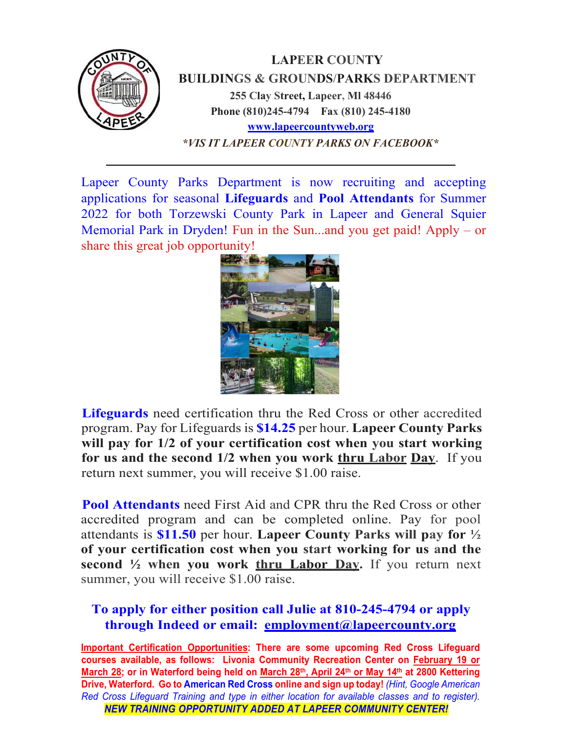

Lapeer County Parks Department is now recruiting and accepting applications for seasonal **Lifeguards** and **Pool Attendants** for Summer 2022 for both Torzewski County Park in Lapeer and General Squier Memorial Park in Dryden! Fun in the Sun...and you get paid! Apply – or share this great job opportunity!



**Lifeguards** need certification thru the Red Cross or other accredited program. Pay for Lifeguards is **\$14.25** per hour. **Lapeer County Parks will pay for 1/2 of your certification cost when you start working for us and the second 1/2 when you work thru Labor Day**. If you return next summer, you will receive \$1.00 raise.

**Pool Attendants** need First Aid and CPR thru the Red Cross or other accredited program and can be completed online. Pay for pool attendants is **\$11.50** per hour. **Lapeer County Parks will pay for ½ of your certification cost when you start working for us and the second ½ when you work thru Labor Day.** If you return next summer, you will receive \$1.00 raise.

## **To apply for either position call Julie at 810-245-4794 or apply through Indeed or email: [employment@lapeercounty.org](mailto:employment@lapeercounty.org)**

**Important Certification Opportunities: There are some upcoming Red Cross Lifeguard courses available, as follows: Livonia Community Recreation Center on February 19 or March 28; or in Waterford being held on March 28th, April 24th or May 14th at 2800 Kettering Drive, Waterford. Go to American Red Cross online and sign up today!** *(Hint, Google American Red Cross Lifeguard Training and type in either location for available classes and to register). NEW TRAINING OPPORTUNITY ADDED AT LAPEER COMMUNITY CENTER!*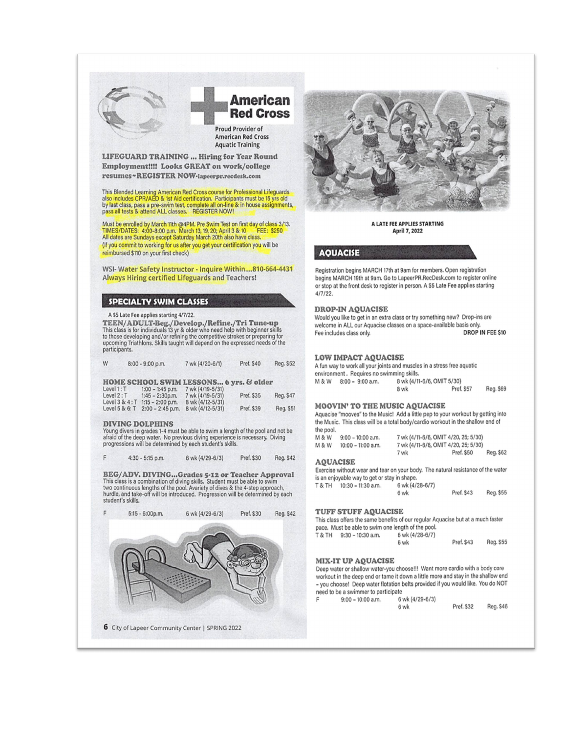

## **American Red Cross**

Proud Provider of **American Red Cross Aquatic Training** 

LIFEGUARD TRAINING ... Hiring for Year Round Employment!!!! Looks GREAT on work/college resumes~REGISTER NOW-lapeerpr.recdesk.com

This Blended Learning American Red Cross course for Professional Lifeguards<br>also includes CPR/AED & 1st Aid certification. Participants must be 15 yrs old<br>by last class, pass a pre-swim test, complete all on-line & in hous

Must be enrolled by March 11th @4PM. Pre Swim Test on first day of class 3/13.<br>TIMES/DATES: 4:00-8:00 p.m. March 13, 19, 20; April 3 & 10 FEE: \$250<br>All dates are Sundays except Saturday March 20th also have class. (If you commit to working for us after you get your certification you will be reimbursed \$110 on your first check)

WSI-Water Safety Instructor - Inquire Within....810-664-4431 Always Hiring certified Lifeguards and Teachers!

#### **SPECIALTY SWIM CLASSES**

A \$5 Late Fee applies starting 4/7/22.

**TEEN/ADULT-Beg./Develop./Refine./Tri Tune-up**<br>This class is for individuals 13 yr & older who need help with beginner skills<br>to those developing and/or refining the competitive strokes or preparing for<br>upcoming Triathlons participants.

| W | $8:00 - 9:00$ p.m. | 7 wk (4/20-6/1) | Pref. \$40 | Reg. \$52 |
|---|--------------------|-----------------|------------|-----------|
|   |                    |                 |            |           |

#### HOME SCHOOL SWIM LESSONS... 6 vrs. & older

| Level 1: T      | $1:00 - 1:45$ p.m. | 7 wk (4/19-5/31) |            |           |
|-----------------|--------------------|------------------|------------|-----------|
| Level 2: T      | $1:45 - 2:30$ p.m. | 7 wk (4/19-5/31) | Pref. \$35 | Reg. \$47 |
| Level 3 & 4 : T | $1:15 - 2:00$ p.m. | 8 wk (4/12-5/31) |            |           |
| Level 5 & 6: T  | $2:00 - 2:45$ p.m. | 8 wk (4/12-5/31) | Pref. \$39 | Reg. \$5  |

#### **DIVING DOLPHINS**

F

Young divers in grades 1-4 must be able to swim a length of the pool and not be afraid of the deep water. No previous diving experience is necessary. Diving progressions will be determined by each student's skills.

4:30 - 5:15 p.m. 6 wk (4/29-6/3) Pref. \$30 Reg. \$42

**BEG/ADV. DIVING...Grades 5-12 or Teacher Approval**<br>This class is a combination of diving skills. Student must be able to swim two continuous lengths of the pool. Avariety of dives & the 4-step approach, hurdle, and take-off will be introduced. Progression will be determined by each student's skills





#### A LATE FEE APPLIES STARTING April 7, 2022

**AOUACISE** 

Registration begins MARCH 17th at 9am for members. Open registration begins MARCH 19th at 9am. Go to LapeerPR.RecDesk.com to register online or stop at the front desk to register in person. A \$5 Late Fee applies starting  $4/7/22$ 

#### **DROP-IN AQUACISE**

Would you like to get in an extra class or try something new? Drop-ins are welcome in ALL our Aquacise classes on a space-available basis only. **DROP IN FEE \$10** Fee includes class only.

#### **LOW IMPACT AQUACISE**

A fun way to work all your joints and muscles in a stress free aquatic environment. Requires no swimming skills. 8 wk (4/11-6/6, OMIT 5/30) M & W 8:00 - 9:00 a.m. 8 wk Pref. \$57 Reg. \$69

#### **MOOVIN' TO THE MUSIC AQUACISE**

Aquacise "mooves" to the Music! Add a little pep to your workout by getting into the Music. This class will be a total body/cardio workout in the shallow end of the pool.

| M & W | $9:00 - 10:00$ a.m.  | 7 wk (4/11-6/6, OMIT 4/20, 25; 5/30) |            |           |
|-------|----------------------|--------------------------------------|------------|-----------|
| M & W | $10:00 - 11:00$ a.m. | 7 wk (4/11-6/6, OMIT 4/20, 25; 5/30) |            |           |
|       |                      | 7 wk                                 | Pref. \$50 | Reg. \$62 |

#### **AQUACISE**

Exercise without wear and tear on your body. The natural resistance of the water is an enjoyable way to get or stay in shape.

| T & TH | $10:30 - 11:30$ a.m. | 6 wk (4/28-6/7) |            |           |
|--------|----------------------|-----------------|------------|-----------|
|        |                      | 6 wk            | Pref. \$43 | Reg. \$55 |

#### TUFF STUFF AQUACISE

This class offers the same benefits of our regular Aquacise but at a much faster pace. Must be able to swim one length of the pool. T & TH 9:30 - 10:30 a.m. 6 wk (4/28-6/7)

Pref. \$43 Reg. \$55 6 wk

#### **MIX-IT UP AQUACISE**

Deep water or shallow water-you choose!!! Want more cardio with a body core workout in the deep end or tame it down a little more and stay in the shallow end - you choose! Deep water flotation belts provided if you would like. You do NOT need to be a swimmer to participate

|  | $9:00 - 10:00$ a.m. | 6 wk (4/29-6/3) |            |           |
|--|---------------------|-----------------|------------|-----------|
|  |                     | 6 wk            | Pref. \$32 | Reg. \$46 |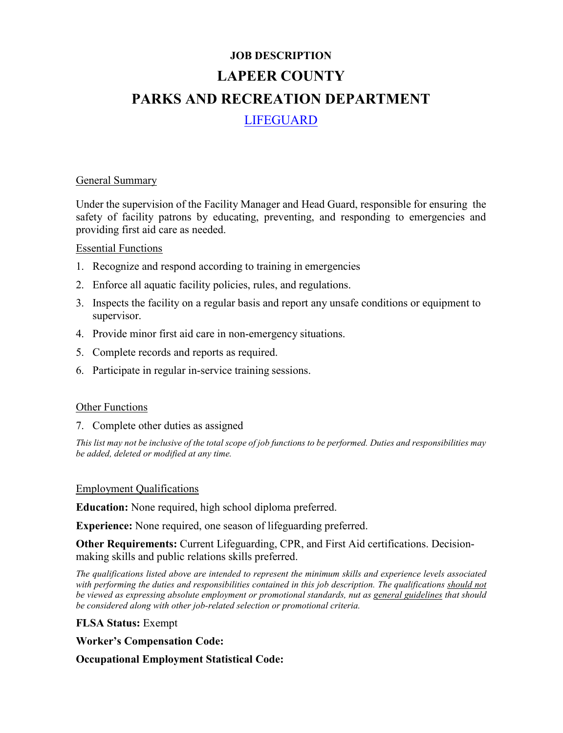# **JOB DESCRIPTION LAPEER COUNTY PARKS AND RECREATION DEPARTMENT** LIFEGUARD

#### General Summary

Under the supervision of the Facility Manager and Head Guard, responsible for ensuring the safety of facility patrons by educating, preventing, and responding to emergencies and providing first aid care as needed.

## Essential Functions

- 1. Recognize and respond according to training in emergencies
- 2. Enforce all aquatic facility policies, rules, and regulations.
- 3. Inspects the facility on a regular basis and report any unsafe conditions or equipment to supervisor.
- 4. Provide minor first aid care in non-emergency situations.
- 5. Complete records and reports as required.
- 6. Participate in regular in-service training sessions.

## Other Functions

7. Complete other duties as assigned

*This list may not be inclusive of the total scope of job functions to be performed. Duties and responsibilities may be added, deleted or modified at any time.*

#### Employment Qualifications

**Education:** None required, high school diploma preferred.

**Experience:** None required, one season of lifeguarding preferred.

**Other Requirements:** Current Lifeguarding, CPR, and First Aid certifications. Decisionmaking skills and public relations skills preferred.

*The qualifications listed above are intended to represent the minimum skills and experience levels associated with performing the duties and responsibilities contained in this job description. The qualifications should not be viewed as expressing absolute employment or promotional standards, nut as general guidelines that should be considered along with other job-related selection or promotional criteria.*

#### **FLSA Status:** Exempt

**Worker's Compensation Code:** 

**Occupational Employment Statistical Code:**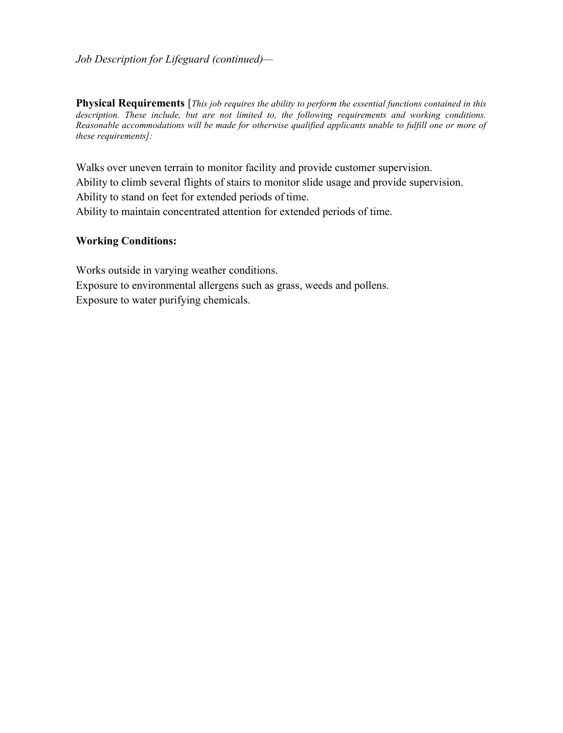#### *Job Description for Lifeguard (continued)—*

**Physical Requirements** [*This job requires the ability to perform the essential functions contained in this description. These include, but are not limited to, the following requirements and working conditions. Reasonable accommodations will be made for otherwise qualified applicants unable to fulfill one or more of these requirements]:*

Walks over uneven terrain to monitor facility and provide customer supervision. Ability to climb several flights of stairs to monitor slide usage and provide supervision. Ability to stand on feet for extended periods of time. Ability to maintain concentrated attention for extended periods of time.

#### **Working Conditions:**

Works outside in varying weather conditions. Exposure to environmental allergens such as grass, weeds and pollens. Exposure to water purifying chemicals.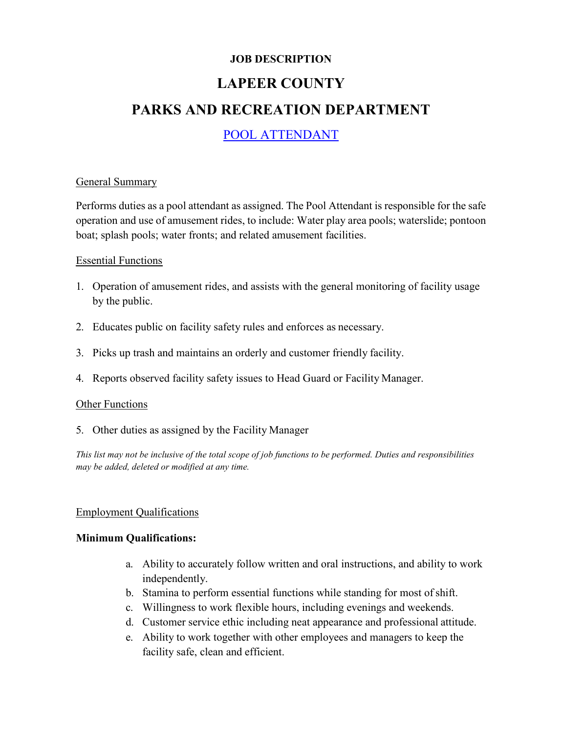# **JOB DESCRIPTION LAPEER COUNTY PARKS AND RECREATION DEPARTMENT**

# POOL ATTENDANT

## General Summary

Performs duties as a pool attendant as assigned. The Pool Attendant is responsible for the safe operation and use of amusement rides, to include: Water play area pools; waterslide; pontoon boat; splash pools; water fronts; and related amusement facilities.

## Essential Functions

- 1. Operation of amusement rides, and assists with the general monitoring of facility usage by the public.
- 2. Educates public on facility safety rules and enforces as necessary.
- 3. Picks up trash and maintains an orderly and customer friendly facility.
- 4. Reports observed facility safety issues to Head Guard or Facility Manager.

#### Other Functions

5. Other duties as assigned by the Facility Manager

*This list may not be inclusive of the total scope of job functions to be performed. Duties and responsibilities may be added, deleted or modified at any time.*

#### Employment Qualifications

## **Minimum Qualifications:**

- a. Ability to accurately follow written and oral instructions, and ability to work independently.
- b. Stamina to perform essential functions while standing for most of shift.
- c. Willingness to work flexible hours, including evenings and weekends.
- d. Customer service ethic including neat appearance and professional attitude.
- e. Ability to work together with other employees and managers to keep the facility safe, clean and efficient.